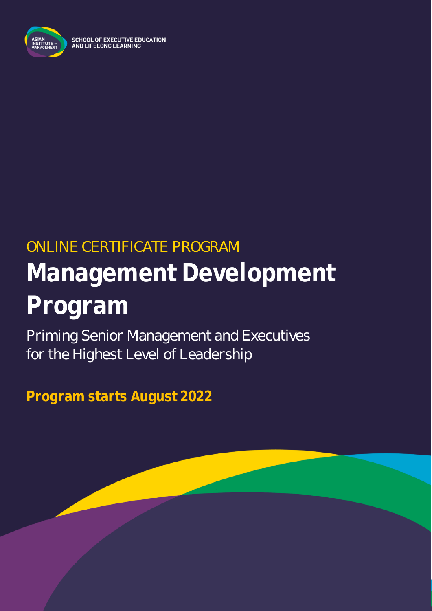

# ONLINE CERTIFICATE PROGRAM **Management Development Program**

Priming Senior Management and Executives for the Highest Level of Leadership

**Program starts August 2022**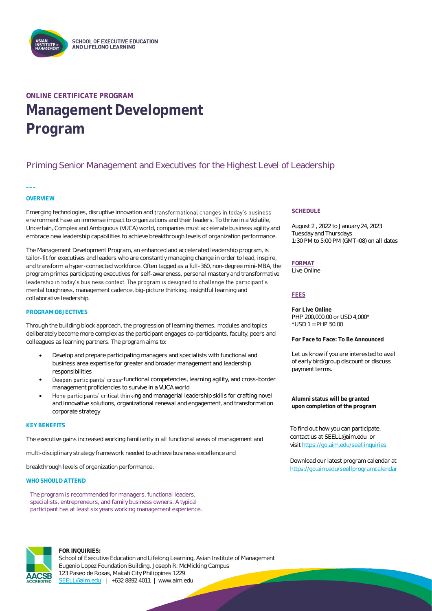

### **ONLINE CERTIFICATE PROGRAM Management Development Program**

### Priming Senior Management and Executives for the Highest Level of Leadership

#### **OVERVIEW**

**\_\_\_**

Emerging technologies, disruptive innovation and transformational changes in today's business environment have an immense impact to organizations and their leaders. To thrive in a Volatile, Uncertain, Complex and Ambiguous (VUCA) world, companies must accelerate business agility and embrace new leadership capabilities to achieve breakthrough levels of organization performance.

The Management Development Program, an enhanced and accelerated leadership program, is tailor-fit for executives and leaders who are constantly managing change in order to lead, inspire, and transform a hyper-connected workforce. Often tagged as a full-360, non-degree mini-MBA, the program primes participating executives for self-awareness, personal mastery and transformative leadership in today's business context. The program is designed to challenge the participant's mental toughness, management cadence, big-picture thinking, insightful learning and collaborative leadership.

#### **PROGRAM OBJECTIVES**

Through the building block approach, the progression of learning themes, modules and topics deliberately become more complex as the participant engages co-participants, faculty, peers and colleagues as learning partners. The program aims to:

- Develop and prepare participating managers and specialists with functional and business area expertise for greater and broader management and leadership responsibilities
- Deepen participants' cross-functional competencies, learning agility, and cross-border management proficiencies to survive in a VUCA world
- Hone participants' critical thinking and managerial leadership skills for crafting novel and innovative solutions, organizational renewal and engagement, and transformation corporate strategy

#### **KEY BENEFITS**

The executive gains increased working familiarity in all functional areas of management and

multi-disciplinary strategy framework needed to achieve business excellence and

breakthrough levels of organization performance.

#### **WHO SHOULD ATTEND**

The program is recommended for managers, functional leaders, specialists, entrepreneurs, and family business owners. A typical participant has at least six years working management experience.

#### **SCHEDULE**

August 2 , 2022 to January 24, 2023 Tuesday and Thursdays 1:30 PM to 5:00 PM (GMT+08) on all dates

**FORMAT** Live Online

#### **FEES**

**For Live Online** PHP 200,000.00 or USD 4,000\* \*USD 1 = PHP 50.00

**For Face to Face: To Be Announced**

Let us know if you are interested to avail of early bird/group discount or discuss payment terms.

**Alumni status will be granted upon completion of the program**

To find out how you can participate, contact us at SEELL@aim.edu or visi[t https://go.aim.edu/seellinquiries](https://go.aim.edu/seellinquiries)

Download our latest program calendar at <https://go.aim.edu/seellprogramcalendar>



#### **FOR INQUIRIES:**

School of Executive Education and Lifelong Learning, Asian Institute of Management Eugenio Lopez Foundation Building, Joseph R. McMicking Campus 123 Paseo de Roxas, Makati City Philippines 1229 [SEELL@aim.edu](mailto:SEELL@aim.edu) | +632 8892 4011 | www.aim.edu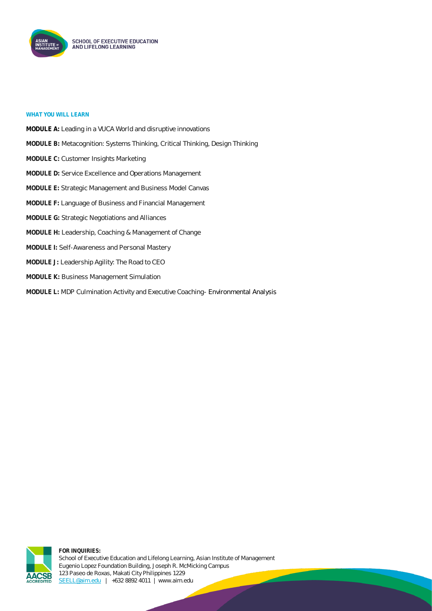

#### **WHAT YOU WILL LEARN**

**MODULE A:** Leading in a VUCA World and disruptive innovations **MODULE B:** Metacognition: Systems Thinking, Critical Thinking, Design Thinking **MODULE C:** Customer Insights Marketing **MODULE D:** Service Excellence and Operations Management **MODULE E:** Strategic Management and Business Model Canvas **MODULE F:** Language of Business and Financial Management **MODULE G:** Strategic Negotiations and Alliances **MODULE H:** Leadership, Coaching & Management of Change **MODULE I:** Self-Awareness and Personal Mastery **MODULE J:** Leadership Agility: The Road to CEO **MODULE K:** Business Management Simulation **MODULE L:** MDP Culmination Activity and Executive Coaching- Environmental Analysis



**FOR INQUIRIES:** School of Executive Education and Lifelong Learning, Asian Institute of Management Eugenio Lopez Foundation Building, Joseph R. McMicking Campus 123 Paseo de Roxas, Makati City Philippines 1229 [SEELL@aim.edu](mailto:SEELL@aim.edu) | +632 8892 4011 | www.aim.edu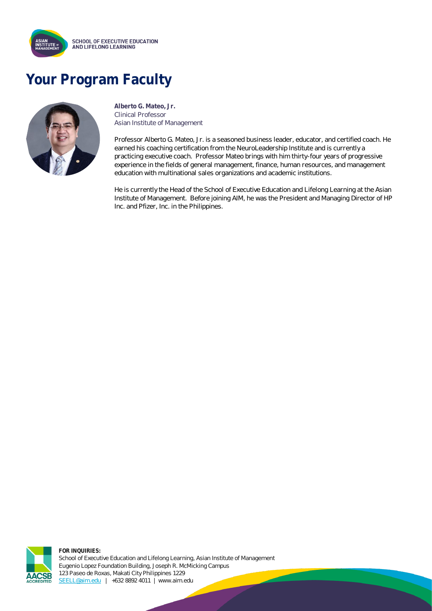

## **Your Program Faculty**



**Alberto G. Mateo, Jr.** Clinical Professor Asian Institute of Management

Professor Alberto G. Mateo, Jr. is a seasoned business leader, educator, and certified coach. He earned his coaching certification from the NeuroLeadership Institute and is currently a practicing executive coach. Professor Mateo brings with him thirty-four years of progressive experience in the fields of general management, finance, human resources, and management education with multinational sales organizations and academic institutions.

He is currently the Head of the School of Executive Education and Lifelong Learning at the Asian Institute of Management. Before joining AIM, he was the President and Managing Director of HP Inc. and Pfizer, Inc. in the Philippines.



**FOR INQUIRIES:** School of Executive Education and Lifelong Learning, Asian Institute of Management Eugenio Lopez Foundation Building, Joseph R. McMicking Campus 123 Paseo de Roxas, Makati City Philippines 1229 [SEELL@aim.edu](mailto:SEELL@aim.edu) | +632 8892 4011 | www.aim.edu